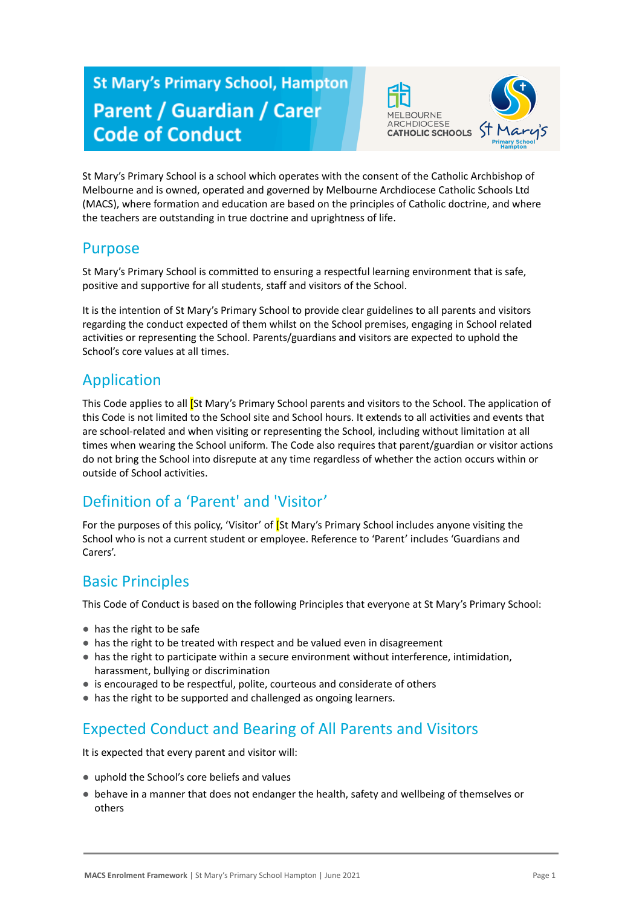# **St Mary's Primary School, Hampton Parent / Guardian / Carer Code of Conduct**



St Mary's Primary School is a school which operates with the consent of the Catholic Archbishop of Melbourne and is owned, operated and governed by Melbourne Archdiocese Catholic Schools Ltd (MACS), where formation and education are based on the principles of Catholic doctrine, and where the teachers are outstanding in true doctrine and uprightness of life.

#### Purpose

St Mary's Primary School is committed to ensuring a respectful learning environment that is safe, positive and supportive for all students, staff and visitors of the School.

It is the intention of St Mary's Primary School to provide clear guidelines to all parents and visitors regarding the conduct expected of them whilst on the School premises, engaging in School related activities or representing the School. Parents/guardians and visitors are expected to uphold the School's core values at all times.

#### Application

This Code applies to all [St Mary's Primary School parents and visitors to the School. The application of this Code is not limited to the School site and School hours. It extends to all activities and events that are school-related and when visiting or representing the School, including without limitation at all times when wearing the School uniform. The Code also requires that parent/guardian or visitor actions do not bring the School into disrepute at any time regardless of whether the action occurs within or outside of School activities.

# Definition of a 'Parent' and 'Visitor'

For the purposes of this policy, 'Visitor' of **[St Mary's Primary School includes anyone visiting the** School who is not a current student or employee. Reference to 'Parent' includes 'Guardians and Carers'.

#### Basic Principles

This Code of Conduct is based on the following Principles that everyone at St Mary's Primary School:

- has the right to be safe
- has the right to be treated with respect and be valued even in disagreement
- has the right to participate within a secure environment without interference, intimidation, harassment, bullying or discrimination
- is encouraged to be respectful, polite, courteous and considerate of others
- has the right to be supported and challenged as ongoing learners.

# Expected Conduct and Bearing of All Parents and Visitors

It is expected that every parent and visitor will:

- uphold the School's core beliefs and values
- behave in a manner that does not endanger the health, safety and wellbeing of themselves or others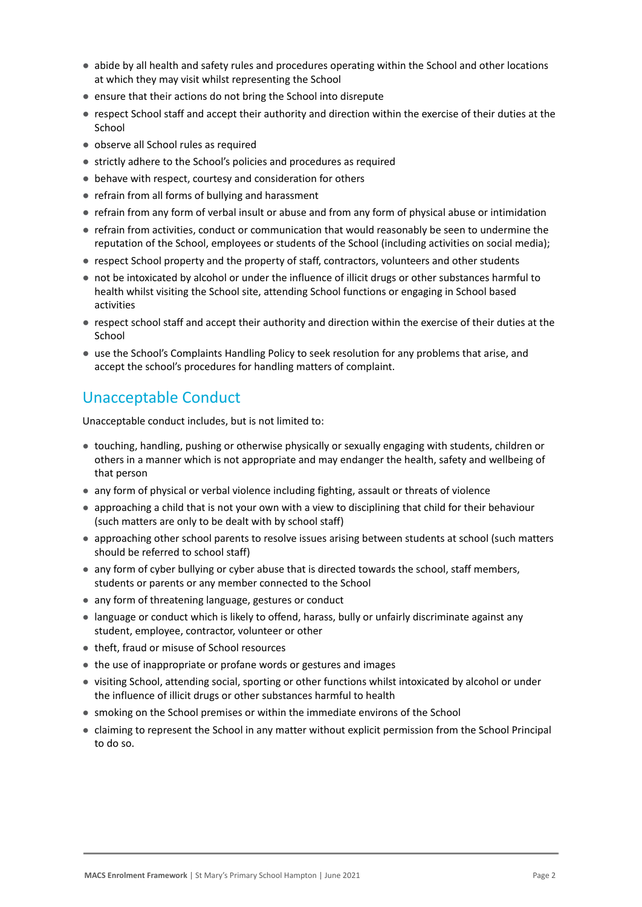- abide by all health and safety rules and procedures operating within the School and other locations at which they may visit whilst representing the School
- ensure that their actions do not bring the School into disrepute
- respect School staff and accept their authority and direction within the exercise of their duties at the School
- observe all School rules as required
- strictly adhere to the School's policies and procedures as required
- behave with respect, courtesy and consideration for others
- refrain from all forms of bullying and harassment
- refrain from any form of verbal insult or abuse and from any form of physical abuse or intimidation
- refrain from activities, conduct or communication that would reasonably be seen to undermine the reputation of the School, employees or students of the School (including activities on social media);
- respect School property and the property of staff, contractors, volunteers and other students
- not be intoxicated by alcohol or under the influence of illicit drugs or other substances harmful to health whilst visiting the School site, attending School functions or engaging in School based activities
- respect school staff and accept their authority and direction within the exercise of their duties at the School
- use the School's Complaints Handling Policy to seek resolution for any problems that arise, and accept the school's procedures for handling matters of complaint.

### Unacceptable Conduct

Unacceptable conduct includes, but is not limited to:

- touching, handling, pushing or otherwise physically or sexually engaging with students, children or others in a manner which is not appropriate and may endanger the health, safety and wellbeing of that person
- any form of physical or verbal violence including fighting, assault or threats of violence
- approaching a child that is not your own with a view to disciplining that child for their behaviour (such matters are only to be dealt with by school staff)
- approaching other school parents to resolve issues arising between students at school (such matters should be referred to school staff)
- any form of cyber bullying or cyber abuse that is directed towards the school, staff members, students or parents or any member connected to the School
- any form of threatening language, gestures or conduct
- language or conduct which is likely to offend, harass, bully or unfairly discriminate against any student, employee, contractor, volunteer or other
- theft, fraud or misuse of School resources
- the use of inappropriate or profane words or gestures and images
- visiting School, attending social, sporting or other functions whilst intoxicated by alcohol or under the influence of illicit drugs or other substances harmful to health
- smoking on the School premises or within the immediate environs of the School
- claiming to represent the School in any matter without explicit permission from the School Principal to do so.